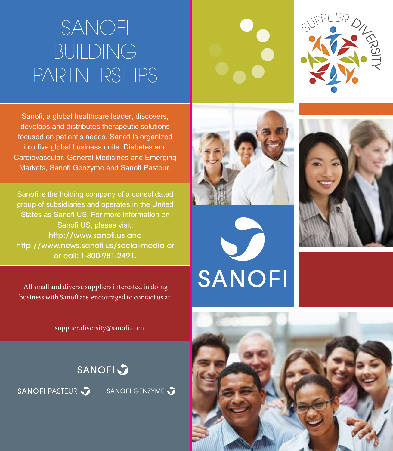### SANOFI BUILDING PARTNERSHIPS



Sanofi, a global healthcare leader, discovers, develops and distributes therapeutic solutions focused on patient's needs. Sanofi is organized into five global business units: Diabetes and Cardiovascular, General Medicines and Emerging Markets, Sanofi Genzyme and Sanofi Pasteur.

Sanofi is the holding company of a consolidated group of subsidiaries and operates in the United States as Sanofi US. For more information on Sanofi US, please visit: http://www.sanofi.us and http://www.news.sanofi.us/social-media or or call: 1-800-981-2491.

All small and diverse suppliers interested in doing business with Sanofi are encouraged to contact us at:

supplier.diversity@sanofi.com

**SANOFI** 

SANOFI GENZYME

SANOFI PASTEUR